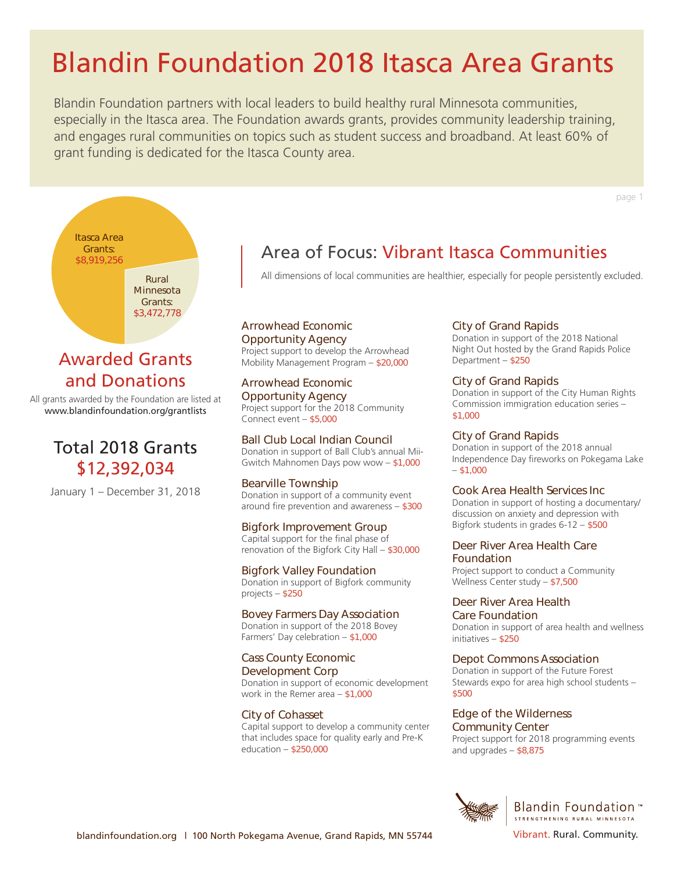Blandin Foundation partners with local leaders to build healthy rural Minnesota communities, especially in the Itasca area. The Foundation awards grants, provides community leadership training, and engages rural communities on topics such as student success and broadband. At least 60% of grant funding is dedicated for the Itasca County area.

page 1



# Awarded Grants and Donations

All grants awarded by the Foundation are listed at www.blandinfoundation.org/grantlists

# Total 2018 Grants \$12,392,034

January 1 – December 31, 2018

# Area of Focus: Vibrant Itasca Communities

All dimensions of local communities are healthier, especially for people persistently excluded.

Arrowhead Economic Opportunity Agency Project support to develop the Arrowhead Mobility Management Program – \$20,000

Arrowhead Economic Opportunity Agency Project support for the 2018 Community Connect event – \$5,000

Ball Club Local Indian Council Donation in support of Ball Club's annual Mii-Gwitch Mahnomen Days pow wow – \$1,000

Bearville Township Donation in support of a community event around fire prevention and awareness – \$300

Bigfork Improvement Group Capital support for the final phase of renovation of the Bigfork City Hall – \$30,000

Bigfork Valley Foundation Donation in support of Bigfork community projects – \$250

Bovey Farmers Day Association Donation in support of the 2018 Bovey Farmers' Day celebration – \$1,000

Cass County Economic Development Corp Donation in support of economic development work in the Remer area – \$1,000

City of Cohasset Capital support to develop a community center that includes space for quality early and Pre-K education – \$250,000

# City of Grand Rapids

Donation in support of the 2018 National Night Out hosted by the Grand Rapids Police Department – \$250

## City of Grand Rapids

Donation in support of the City Human Rights Commission immigration education series – \$1,000

## City of Grand Rapids

Donation in support of the 2018 annual Independence Day fireworks on Pokegama Lake  $-$  \$1,000

#### Cook Area Health Services Inc

Donation in support of hosting a documentary/ discussion on anxiety and depression with Bigfork students in grades 6-12 – \$500

# Deer River Area Health Care Foundation

Project support to conduct a Community Wellness Center study – \$7,500

Deer River Area Health Care Foundation Donation in support of area health and wellness initiatives – \$250

# Depot Commons Association

Donation in support of the Future Forest Stewards expo for area high school students – \$500

#### Edge of the Wilderness Community Center

Project support for 2018 programming events and upgrades – \$8,875



**Blandin Foundation**™ STRENGTHENING RURAL MINNESOTA

blandinfoundation.org | 100 North Pokegama Avenue, Grand Rapids, MN 55744 Vibrant. Rural. Community.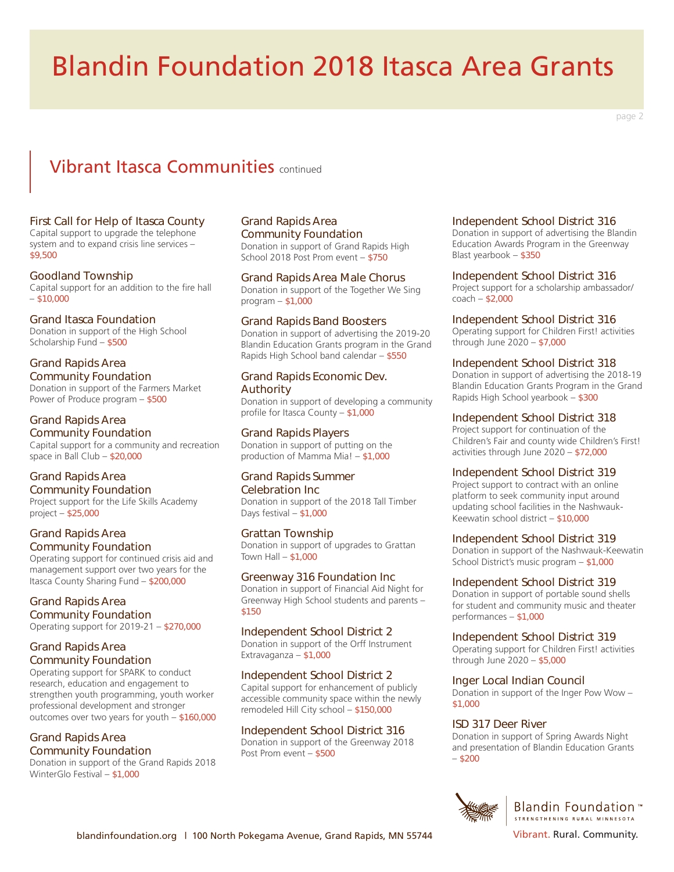# Vibrant Itasca Communities continued

## First Call for Help of Itasca County

Capital support to upgrade the telephone system and to expand crisis line services – \$9,500

#### Goodland Township

Capital support for an addition to the fire hall  $-$  \$10,000

## Grand Itasca Foundation

Donation in support of the High School Scholarship Fund – \$500

#### Grand Rapids Area Community Foundation

Donation in support of the Farmers Market Power of Produce program – \$500

# Grand Rapids Area

Community Foundation Capital support for a community and recreation space in Ball Club – \$20,000

# Grand Rapids Area Community Foundation

Project support for the Life Skills Academy project – \$25,000

#### Grand Rapids Area Community Foundation

Operating support for continued crisis aid and management support over two years for the Itasca County Sharing Fund – \$200,000

#### Grand Rapids Area Community Foundation

Operating support for 2019-21 – \$270,000

# Grand Rapids Area Community Foundation

Operating support for SPARK to conduct research, education and engagement to strengthen youth programming, youth worker professional development and stronger outcomes over two years for youth – \$160,000

# Grand Rapids Area Community Foundation

Donation in support of the Grand Rapids 2018 WinterGlo Festival – \$1,000

# Grand Rapids Area Community Foundation

Donation in support of Grand Rapids High School 2018 Post Prom event – \$750

#### Grand Rapids Area Male Chorus

Donation in support of the Together We Sing program – \$1,000

## Grand Rapids Band Boosters

Donation in support of advertising the 2019-20 Blandin Education Grants program in the Grand Rapids High School band calendar – \$550

# Grand Rapids Economic Dev. Authority

Donation in support of developing a community profile for Itasca County – \$1,000

# Grand Rapids Players

Donation in support of putting on the production of Mamma Mia! – \$1,000

#### Grand Rapids Summer Celebration Inc

Donation in support of the 2018 Tall Timber Days festival – \$1,000

# Grattan Township

Donation in support of upgrades to Grattan Town Hall  $-$  \$1,000

# Greenway 316 Foundation Inc

Donation in support of Financial Aid Night for Greenway High School students and parents – \$150

# Independent School District 2

Donation in support of the Orff Instrument Extravaganza – \$1,000

# Independent School District 2

Capital support for enhancement of publicly accessible community space within the newly remodeled Hill City school – \$150,000

# Independent School District 316

Donation in support of the Greenway 2018 Post Prom event – \$500

## Independent School District 316

Donation in support of advertising the Blandin Education Awards Program in the Greenway Blast yearbook – \$350

#### Independent School District 316

Project support for a scholarship ambassador/ coach – \$2,000

## Independent School District 316

Operating support for Children First! activities through June 2020 – \$7,000

## Independent School District 318

Donation in support of advertising the 2018-19 Blandin Education Grants Program in the Grand Rapids High School yearbook – \$300

## Independent School District 318

Project support for continuation of the Children's Fair and county wide Children's First! activities through June 2020 – \$72,000

#### Independent School District 319

Project support to contract with an online platform to seek community input around updating school facilities in the Nashwauk-Keewatin school district – \$10,000

## Independent School District 319

Donation in support of the Nashwauk-Keewatin School District's music program – \$1,000

# Independent School District 319

Donation in support of portable sound shells for student and community music and theater performances – \$1,000

#### Independent School District 319

Operating support for Children First! activities through June 2020 – \$5,000

# Inger Local Indian Council

Donation in support of the Inger Pow Wow – \$1,000

# ISD 317 Deer River

Donation in support of Spring Awards Night and presentation of Blandin Education Grants  $- $200$ 



page 2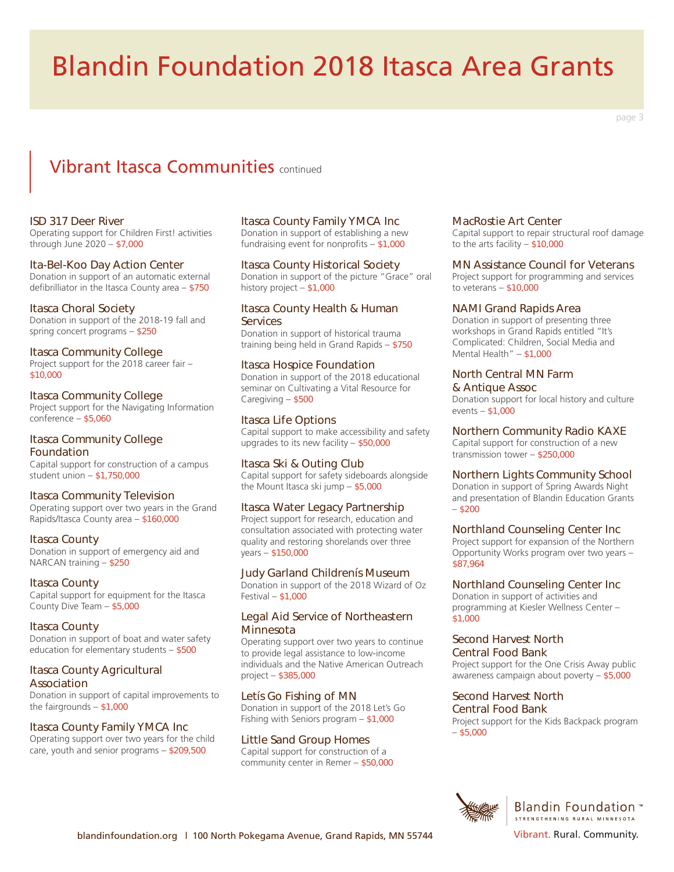#### page 3

# Vibrant Itasca Communities continued

#### ISD 317 Deer River

Operating support for Children First! activities through June 2020 – \$7,000

#### Ita-Bel-Koo Day Action Center

Donation in support of an automatic external defibrilliator in the Itasca County area – \$750

#### Itasca Choral Society

Donation in support of the 2018-19 fall and spring concert programs – \$250

#### Itasca Community College

Project support for the 2018 career fair – \$10,000

#### Itasca Community College

Project support for the Navigating Information conference – \$5,060

# Itasca Community College Foundation

Capital support for construction of a campus student union – \$1,750,000

#### Itasca Community Television

Operating support over two years in the Grand Rapids/Itasca County area – \$160,000

#### Itasca County

Donation in support of emergency aid and NARCAN training – \$250

#### Itasca County

Capital support for equipment for the Itasca County Dive Team – \$5,000

#### Itasca County

Donation in support of boat and water safety education for elementary students – \$500

#### Itasca County Agricultural Association

Donation in support of capital improvements to the fairgrounds  $-$  \$1,000

# Itasca County Family YMCA Inc

Operating support over two years for the child care, youth and senior programs – \$209,500

#### Itasca County Family YMCA Inc

Donation in support of establishing a new fundraising event for nonprofits – \$1,000

#### Itasca County Historical Society

Donation in support of the picture "Grace" oral history project – \$1,000

#### Itasca County Health & Human **Services**

Donation in support of historical trauma training being held in Grand Rapids – \$750

#### Itasca Hospice Foundation

Donation in support of the 2018 educational seminar on Cultivating a Vital Resource for Caregiving – \$500

#### Itasca Life Options

Capital support to make accessibility and safety upgrades to its new facility – \$50,000

#### Itasca Ski & Outing Club

Capital support for safety sideboards alongside the Mount Itasca ski jump – \$5,000

## Itasca Water Legacy Partnership

Project support for research, education and consultation associated with protecting water quality and restoring shorelands over three years – \$150,000

#### Judy Garland Childrenís Museum

Donation in support of the 2018 Wizard of Oz Festival – \$1,000

#### Legal Aid Service of Northeastern **Minnesota**

Operating support over two years to continue to provide legal assistance to low-income individuals and the Native American Outreach project – \$385,000

#### Letís Go Fishing of MN

Donation in support of the 2018 Let's Go Fishing with Seniors program – \$1,000

#### Little Sand Group Homes

Capital support for construction of a community center in Remer – \$50,000

#### MacRostie Art Center

Capital support to repair structural roof damage to the arts facility – \$10,000

#### MN Assistance Council for Veterans

Project support for programming and services to veterans – \$10,000

#### NAMI Grand Rapids Area

Donation in support of presenting three workshops in Grand Rapids entitled "It's Complicated: Children, Social Media and Mental Health" – \$1,000

#### North Central MN Farm & Antique Assoc

Donation support for local history and culture events – \$1,000

#### Northern Community Radio KAXE

Capital support for construction of a new transmission tower – \$250,000

## Northern Lights Community School

Donation in support of Spring Awards Night and presentation of Blandin Education Grants  $-$  \$200

#### Northland Counseling Center Inc

Project support for expansion of the Northern Opportunity Works program over two years – \$87,964

#### Northland Counseling Center Inc

Donation in support of activities and programming at Kiesler Wellness Center – \$1,000

#### Second Harvest North Central Food Bank

Project support for the One Crisis Away public awareness campaign about poverty – \$5,000

#### Second Harvest North

Central Food Bank

Project support for the Kids Backpack program  $-$  \$5,000



Blandin Foundation \*\* STRENGTHENING RURAL MINNESOTA